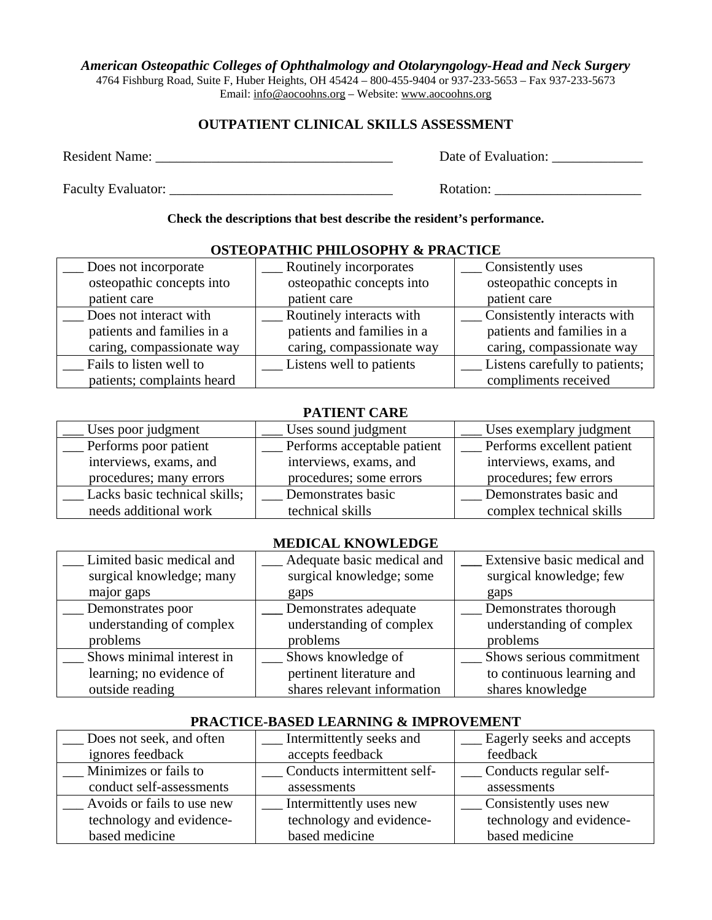#### *American Osteopathic Colleges of Ophthalmology and Otolaryngology-Head and Neck Surgery*

4764 Fishburg Road, Suite F, Huber Heights, OH 45424 – 800-455-9404 or 937-233-5653 – Fax 937-233-5673 Email: info@aocoohns.org – Website: www.aocoohns.org

## **OUTPATIENT CLINICAL SKILLS ASSESSMENT**

Resident Name: \_\_\_\_\_\_\_\_\_\_\_\_\_\_\_\_\_\_\_\_\_\_\_\_\_\_\_\_\_\_\_\_\_\_ Date of Evaluation: \_\_\_\_\_\_\_\_\_\_\_\_\_

Faculty Evaluator: \_\_\_\_\_\_\_\_\_\_\_\_\_\_\_\_\_\_\_\_\_\_\_\_\_\_\_\_\_\_\_\_ Rotation: \_\_\_\_\_\_\_\_\_\_\_\_\_\_\_\_\_\_\_\_\_

**Check the descriptions that best describe the resident's performance.** 

| Does not incorporate       | Routinely incorporates     | Consistently uses              |
|----------------------------|----------------------------|--------------------------------|
| osteopathic concepts into  | osteopathic concepts into  | osteopathic concepts in        |
| patient care               | patient care               | patient care                   |
| Does not interact with     | Routinely interacts with   | Consistently interacts with    |
| patients and families in a | patients and families in a | patients and families in a     |
| caring, compassionate way  | caring, compassionate way  | caring, compassionate way      |
| Fails to listen well to    | Listens well to patients   | Listens carefully to patients; |
| patients; complaints heard |                            | compliments received           |

## **OSTEOPATHIC PHILOSOPHY & PRACTICE**

## **PATIENT CARE**

| Uses poor judgment            | Uses sound judgment         | Uses exemplary judgment    |
|-------------------------------|-----------------------------|----------------------------|
| Performs poor patient         | Performs acceptable patient | Performs excellent patient |
| interviews, exams, and        | interviews, exams, and      | interviews, exams, and     |
| procedures; many errors       | procedures; some errors     | procedures; few errors     |
| Lacks basic technical skills; | Demonstrates basic          | Demonstrates basic and     |
| needs additional work         | technical skills            | complex technical skills   |

### **MEDICAL KNOWLEDGE**

| Limited basic medical and<br>surgical knowledge; many | Adequate basic medical and<br>surgical knowledge; some | Extensive basic medical and<br>surgical knowledge; few |
|-------------------------------------------------------|--------------------------------------------------------|--------------------------------------------------------|
| major gaps                                            | gaps                                                   | gaps                                                   |
| Demonstrates poor                                     | Demonstrates adequate                                  | Demonstrates thorough                                  |
| understanding of complex                              | understanding of complex                               | understanding of complex                               |
| problems                                              | problems                                               | problems                                               |
| Shows minimal interest in                             | Shows knowledge of                                     | Shows serious commitment                               |
| learning; no evidence of                              | pertinent literature and                               | to continuous learning and                             |
| outside reading                                       | shares relevant information                            | shares knowledge                                       |

#### **PRACTICE-BASED LEARNING & IMPROVEMENT**

| Does not seek, and often   | Intermittently seeks and    | Eagerly seeks and accepts |
|----------------------------|-----------------------------|---------------------------|
| ignores feedback           | accepts feedback            | feedback                  |
| Minimizes or fails to      | Conducts intermittent self- | Conducts regular self-    |
| conduct self-assessments   | assessments                 | assessments               |
| Avoids or fails to use new | Intermittently uses new     | Consistently uses new     |
| technology and evidence-   | technology and evidence-    | technology and evidence-  |
| based medicine             | based medicine              | based medicine            |